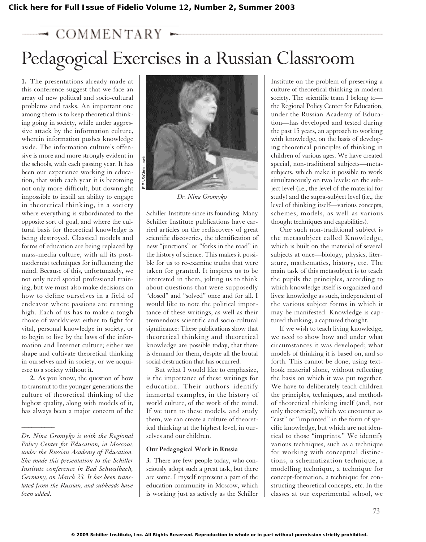# $\rightarrow$  COMMENTA

# Pedagogical Exercises in a Russian Classroom

**1.** The presentations already made at this conference suggest that we face an array of new political and socio-cultural problems and tasks. An important one among them is to keep theoretical thinking going in society, while under aggressive attack by the information culture, wherein information pushes knowledge aside. The information culture's offensive is more and more strongly evident in the schools, with each passing year. It has been our experience working in education, that with each year it is becoming not only more difficult, but downright impossible to instill an ability to engage in theoretical thinking, in a society where everything is subordinated to the opposite sort of goal, and where the cultural basis for theoretical knowledge is being destroyed. Classical models and forms of education are being replaced by mass-media culture, with all its postmodernist techniques for influencing the mind. Because of this, unfortunately, we not only need special professional training, but we must also make decisions on how to define ourselves in a field of endeavor where passions are running high. Each of us has to make a tough choice of worldview: either to fight for vital, personal knowledge in society, or to begin to live by the laws of the information and Internet culture; either we shape and cultivate theoretical thinking in ourselves and in society, or we acquiesce to a society without it.

**2.** As you know, the question of how to transmit to the younger generations the culture of theoretical thinking of the highest quality, along with models of it, has always been a major concern of the

*\_\_\_\_\_\_\_\_\_\_*



*Dr. Nina Gromyko*

Schiller Institute since its founding. Many Schiller Institute publications have carried articles on the rediscovery of great scientific discoveries, the identification of new "junctions" or "forks in the road" in the history of science. This makes it possible for us to re-examine truths that were taken for granted. It inspires us to be interested in them, jolting us to think about questions that were supposedly "closed" and "solved" once and for all. I would like to note the political importance of these writings, as well as their tremendous scientific and socio-cultural significance: These publications show that theoretical thinking and theoretical knowledge are possible today, that there is demand for them, despite all the brutal social destruction that has occurred.

But what I would like to emphasize, is the importance of these writings for education. Their authors identify immortal examples, in the history of world culture, of the work of the mind. If we turn to these models, and study them, we can create a culture of theoretical thinking at the highest level, in ourselves and our children.

#### **Our Pedagogical Work in Russia**

**3.** There are few people today, who consciously adopt such a great task, but there are some. I myself represent a part of the education community in Moscow, which is working just as actively as the Schiller

Institute on the problem of preserving a culture of theoretical thinking in modern society. The scientific team I belong to the Regional Policy Center for Education, under the Russian Academy of Education—has developed and tested during the past 15 years, an approach to working with knowledge, on the basis of developing theoretical principles of thinking in children of various ages. We have created special, non-traditional subjects—metasubjects, which make it possible to work simultaneously on two levels: on the subject level (i.e., the level of the material for study) and the supra-subject level (i.e., the level of thinking itself—various concepts, schemes, models, as well as various thought techniques and capabilities).

One such non-traditional subject is the metasubject called Knowledge, which is built on the material of several subjects at once—biology, physics, literature, mathematics, history, etc. The main task of this metasubject is to teach the pupils the principles, according to which knowledge itself is organized and lives: knowledge as such, independent of the various subject forms in which it may be manifested. Knowledge is captured thinking, a captured thought.

If we wish to teach living knowledge, we need to show how and under what circumstances it was developed; what models of thinking it is based on, and so forth. This cannot be done, using textbook material alone, without reflecting the basis on which it was put together. We have to deliberately teach children the principles, techniques, and methods of theoretical thinking itself (and, not only theoretical), which we encounter as "cast" or "imprinted" in the form of specific knowledge, but which are not identical to those "imprints." We identify various techniques, such as a technique for working with conceptual distinctions, a schematization technique, a modelling technique, a technique for concept-formation, a technique for constructing theoretical concepts, etc. In the classes at our experimental school, we

*Dr. Nina Gromyko is with the Regional Policy Center for Education, in Moscow, under the Russian Academy of Education. She made this presentation to the Schiller Institute conference in Bad Schwalbach, Germany, on March 23. It has been translated from the Russian, and subheads have been added.*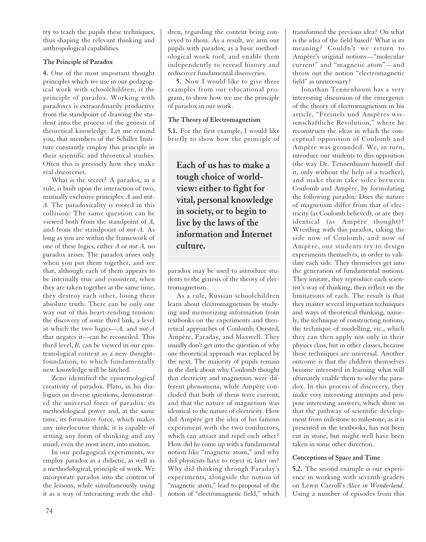try to teach the pupils these techniques, thus shaping the relevant thinking and anthropological capabilities.

### **The Principle of Paradox**

**4.** One of the most important thought principles which we use in our pedagogical work with schoolchildren, is the principle of paradox. Working with paradoxes is extraordinarily productive from the standpoint of drawing the student into the process of the genesis of theoretical knowledge. Let me remind you, that members of the Schiller Institute constantly employ this principle in their scientific and theoretical studies. Often this is precisely how they make real discoveries.

What is the secret? A paradox, as a rule, is built upon the interaction of two, mutually exclusive principles: *A* and *not-A.* The paradoxicality is rooted in this collision: The same question can be viewed both from the standpoint of *A,* and from the standpoint of *not-A.* As long as you are within the framework of one of these logics, either *A* or *not-A,* no paradox arises. The paradox arises only when you put them together, and see that, although each of them appears to be internally true and consistent, when they are taken together at the same time, they destroy each other, losing their absolute truth. There can be only one way out of this heart-rending tension: the discovery of some third link, a level at which the two logics—*A,* and *not-A* that negates it—can be reconciled. This third level, *B,* can be viewed in our epistemological context as a new thoughtfoundation, to which fundamentally new knowledge will be hitched.

Zeno identified the epistemological creativity of paradox. Plato, in his dialogues on diverse questions, demonstrated the universal force of paradox: its methodological power and, at the same time, its formative force, which makes any interlocutor think; it is capable of setting any form of thinking and any mind, even the most inert, into motion.

In our pedagogical experiments, we employ paradox as a didactic, as well as a methodological, principle of work. We incorporate paradox into the content of the lessons, while simultaneously using it as a way of interacting with the children, regarding the content being conveyed to them. As a result, we arm our pupils with paradox, as a basic methodological work tool, and enable them independently to reread history and rediscover fundamental discoveries.

**5.** Now I would like to give three examples from our educational program, to show how we use the principle of paradox in our work.

#### **The Theory of Electromagnetism**

**5.1.** For the first example, I would like briefly to show how the principle of

**Each of us has to make a tough choice of worldview: either to fight for vital, personal knowledge in society, or to begin to live by the laws of the information and Internet culture.**

paradox may be used to introduce students to the genesis of the theory of electromagnetism.

As a rule, Russian schoolchildren learn about electromagnetism by studying and memorizing information from textbooks on the experiments and theoretical approaches of Coulomb, Oersted, Ampère, Faraday, and Maxwell. They usually don't get into the question of why one theoretical approach was replaced by the next. The majority of pupils remain in the dark about why Coulomb thought that electricity and magnetism were different phenomena, while Ampère concluded that both of them were current, and that the nature of magnetism was identical to the nature of electricity. How did Ampère get the idea of his famous experiment with the two conductors, which can attract and repel each other? How did he come up with a fundamental notion like "magnetic atom," and why did physicists have to reject it, later on? Why did thinking through Faraday's experiments, alongside the notion of "magnetic atom," lead to proposal of the notion of "electromagnetic field," which

transformed the previous idea? On what is the idea of the field based? What is its meaning? Couldn't we return to Ampère's original notions—"molecular current" and "magnetic atom"—and throw out the notion "electromagnetic field" as unnecessary?

Jonathan Tennenbaum has a very interesting discussion of the emergence of the theory of electromagnetism in his article, "Fresnels und Ampères wissenschaftliche Revolution," where he reconstructs the ideas in which the conceptual opposition of Coulomb and Ampère was grounded. We, in turn, introduce our students to this opposition (the way Dr. Tennenbaum himself did it, only without the help of a teacher), and make them take sides between Coulomb and Ampère, by formulating the following paradox: Does the nature of magnetism differ from that of electricity (as Coulomb believed), or are they identical (as Ampère thought)? Wrestling with this paradox, taking the side now of Coulomb, and now of Ampère, our students try to design experiments themselves, in order to validate each side. They themselves get into the generation of fundamental notions. They imitate, they reproduce each scientist's way of thinking, then reflect on the limitations of each. The result is that they master several important techniques and ways of theoretical thinking, namely, the technique of constructing notions, the technique of modelling, etc., which they can then apply not only in their physics class, but in other classes, because these techniques are universal. Another outcome is that the children themselves become interested in learning what will ultimately enable them to solve the paradox. In this process of discovery, they make very interesting attempts and propose interesting answers, which show us that the pathway of scientific development from milestone to milestone, as it is presented in the textbooks, has not been cut in stone, but might well have been taken in some other direction.

## **Conceptions of Space and Time**

**5.2.** The second example is our experience in working with seventh-graders on Lewis Carroll's *Alice in Wonderland.* Using a number of episodes from this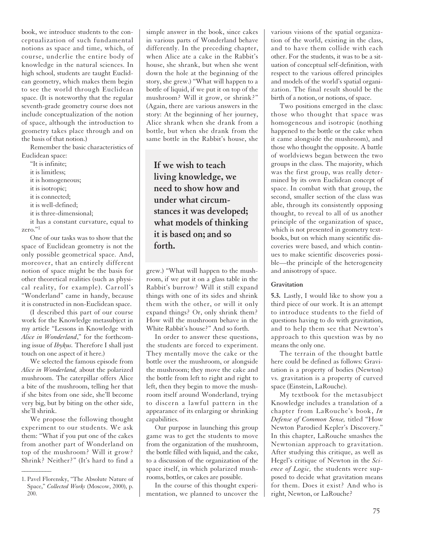book, we introduce students to the conceptualization of such fundamental notions as space and time, which, of course, underlie the entire body of knowledge in the natural sciences. In high school, students are taught Euclidean geometry, which makes them begin to see the world through Euclidean space. (It is noteworthy that the regular seventh-grade geometry course does not include conceptualization of the notion of space, although the introduction to geometry takes place through and on the basis of that notion.)

Remember the basic characteristics of Euclidean space:

"It is infinite; it is limitless; it is homogeneous; it is isotropic; it is connected; it is well-defined; it is three-dimensional; it has a constant curvature, equal to zero."1

One of our tasks was to show that the space of Euclidean geometry is not the only possible geometrical space. And, moreover, that an entirely different notion of space might be the basis for other theoretical realities (such as physical reality, for example). Carroll's "Wonderland" came in handy, because it is constructed in non-Euclidean space.

(I described this part of our course work for the Knowledge metasubject in my article "Lessons in Knowledge with *Alice in Wonderland*," for the forthcoming issue of *Ibykus.* Therefore I shall just touch on one aspect of it here.)

We selected the famous episode from *Alice in Wonderland,* about the polarized mushroom. The caterpillar offers Alice a bite of the mushroom, telling her that if she bites from one side, she'll become very big, but by biting on the other side, she'll shrink.

We propose the following thought experiment to our students. We ask them: "What if you put one of the cakes from another part of Wonderland on top of the mushroom? Will it grow? Shrink? Neither?" (It's hard to find a

 $\overline{\phantom{a}}$ 

simple answer in the book, since cakes in various parts of Wonderland behave differently. In the preceding chapter, when Alice ate a cake in the Rabbit's house, she shrank, but when she went down the hole at the beginning of the story, she grew.) "What will happen to a bottle of liquid, if we put it on top of the mushroom? Will it grow, or shrink?" (Again, there are various answers in the story: At the beginning of her journey, Alice shrank when she drank from a bottle, but when she drank from the same bottle in the Rabbit's house, she

**If we wish to teach living knowledge, we need to show how and under what circumstances it was developed; what models of thinking it is based on; and so forth.**

grew.) "What will happen to the mushroom, if we put it on a glass table in the Rabbit's burrow? Will it still expand things with one of its sides and shrink them with the other, or will it only expand things? Or, only shrink them? How will the mushroom behave in the White Rabbit's house?" And so forth.

In order to answer these questions, the students are forced to experiment. They mentally move the cake or the bottle over the mushroom, or alongside the mushroom; they move the cake and the bottle from left to right and right to left, then they begin to move the mushroom itself around Wonderland, trying to discern a lawful pattern in the appearance of its enlarging or shrinking capabilities.

Our purpose in launching this group game was to get the students to move from the organization of the mushroom, the bottle filled with liquid, and the cake, to a discussion of the organization of the space itself, in which polarized mushrooms, bottles, or cakes are possible.

In the course of this thought experimentation, we planned to uncover the various visions of the spatial organization of the world, existing in the class, and to have them collide with each other. For the students, it was to be a situation of conceptual self-definition, with respect to the various offered principles and models of the world's spatial organization. The final result should be the birth of a notion, or notions, of space.

Two positions emerged in the class: those who thought that space was homogeneous and isotropic (nothing happened to the bottle or the cake when it came alongside the mushroom), and those who thought the opposite. A battle of worldviews began between the two groups in the class. The majority, which was the first group, was really determined by its own Euclidean concept of space. In combat with that group, the second, smaller section of the class was able, through its consistently opposing thought, to reveal to all of us another principle of the organization of space, which is not presented in geometry textbooks, but on which many scientific discoveries were based, and which continues to make scientific discoveries possible—the principle of the heterogeneity and anisotropy of space.

#### **Gravitation**

**5.3.** Lastly, I would like to show you a third piece of our work. It is an attempt to introduce students to the field of questions having to do with gravitation, and to help them see that Newton's approach to this question was by no means the only one.

The terrain of the thought battle here could be defined as follows: Gravitation is a property of bodies (Newton) vs. gravitation is a property of curved space (Einstein, LaRouche).

My textbook for the metasubject Knowledge includes a translation of a chapter from LaRouche's book, *In Defense of Common Sense,* titled "How Newton Parodied Kepler's Discovery." In this chapter, LaRouche smashes the Newtonian approach to gravitation. After studying this critique, as well as Hegel's critique of Newton in the *Science of Logic,* the students were supposed to decide what gravitation means for them. Does it exist? And who is right, Newton, or LaRouche?

<sup>1.</sup> Pavel Florensky, "The Absolute Nature of Space," *Collected Works* (Moscow, 2000), p. 200.